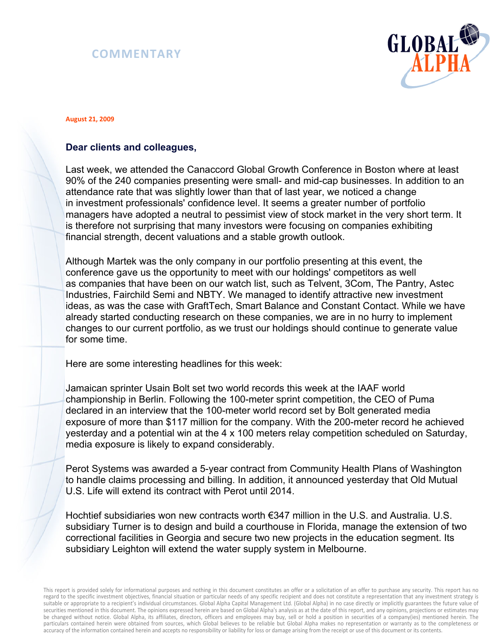## **COMMENTARY**



## **August 21, 2009**

## **Dear clients and colleagues,**

Last week, we attended the Canaccord Global Growth Conference in Boston where at least 90% of the 240 companies presenting were small- and mid-cap businesses. In addition to an attendance rate that was slightly lower than that of last year, we noticed a change in investment professionals' confidence level. It seems a greater number of portfolio managers have adopted a neutral to pessimist view of stock market in the very short term. It is therefore not surprising that many investors were focusing on companies exhibiting financial strength, decent valuations and a stable growth outlook.

Although Martek was the only company in our portfolio presenting at this event, the conference gave us the opportunity to meet with our holdings' competitors as well as companies that have been on our watch list, such as Telvent, 3Com, The Pantry, Astec Industries, Fairchild Semi and NBTY. We managed to identify attractive new investment ideas, as was the case with GraftTech, Smart Balance and Constant Contact. While we have already started conducting research on these companies, we are in no hurry to implement changes to our current portfolio, as we trust our holdings should continue to generate value for some time.

Here are some interesting headlines for this week:

Jamaican sprinter Usain Bolt set two world records this week at the IAAF world championship in Berlin. Following the 100-meter sprint competition, the CEO of Puma declared in an interview that the 100-meter world record set by Bolt generated media exposure of more than \$117 million for the company. With the 200-meter record he achieved yesterday and a potential win at the 4 x 100 meters relay competition scheduled on Saturday, media exposure is likely to expand considerably.

Perot Systems was awarded a 5-year contract from Community Health Plans of Washington to handle claims processing and billing. In addition, it announced yesterday that Old Mutual U.S. Life will extend its contract with Perot until 2014.

Hochtief subsidiaries won new contracts worth €347 million in the U.S. and Australia. U.S. subsidiary Turner is to design and build a courthouse in Florida, manage the extension of two correctional facilities in Georgia and secure two new projects in the education segment. Its subsidiary Leighton will extend the water supply system in Melbourne.

This report is provided solely for informational purposes and nothing in this document constitutes an offer or a solicitation of an offer to purchase any security. This report has no regard to the specific investment objectives, financial situation or particular needs of any specific recipient and does not constitute a representation that any investment strategy is suitable or appropriate to a recipient's individual circumstances. Global Alpha Capital Management Ltd. (Global Alpha) in no case directly or implicitly guarantees the future value of securities mentioned in this document. The opinions expressed herein are based on Global Alpha's analysis as at the date of this report, and any opinions, projections or estimates may be changed without notice. Global Alpha, its affiliates, directors, officers and employees may buy, sell or hold a position in securities of a company(ies) mentioned herein. The particulars contained herein were obtained from sources, which Global believes to be reliable but Global Alpha makes no representation or warranty as to the completeness or accuracy of the information contained herein and accepts no responsibility or liability for loss or damage arising from the receipt or use of this document or its contents.